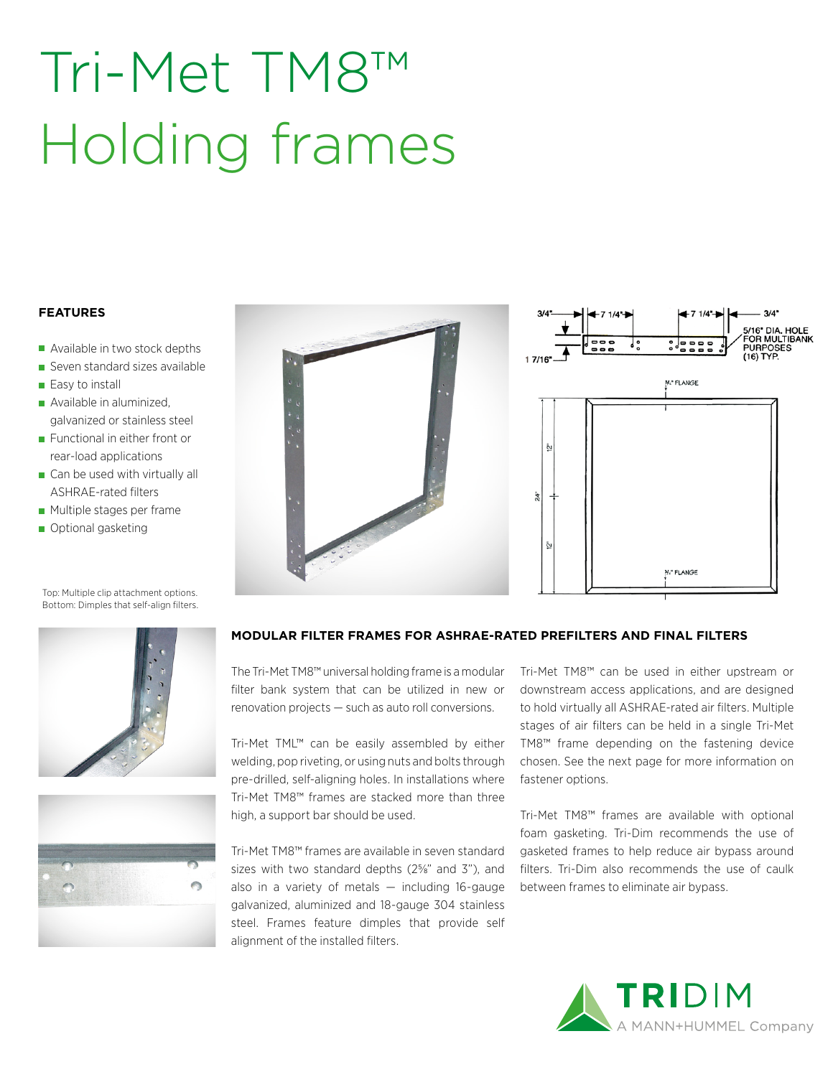# Tri-Met TM8™ Holding frames

#### **FEATURES**

- Available in two stock depths
- Seven standard sizes available
- Easy to install
- Available in aluminized, galvanized or stainless steel
- **Functional in either front or** rear-load applications
- Can be used with virtually all ASHRAE-rated filters
- Multiple stages per frame
- Optional gasketing



Top: Multiple clip attachment options. Bottom: Dimples that self-align filters.





#### **MODULAR FILTER FRAMES FOR ASHRAE-RATED PREFILTERS AND FINAL FILTERS**

The Tri-Met TM8™ universal holding frame is a modular filter bank system that can be utilized in new or renovation projects — such as auto roll conversions.

Tri-Met TML™ can be easily assembled by either welding, pop riveting, or using nuts and bolts through pre-drilled, self-aligning holes. In installations where Tri-Met TM8™ frames are stacked more than three high, a support bar should be used.

Tri-Met TM8™ frames are available in seven standard sizes with two standard depths  $(2\frac{5}{8}$ " and  $3"$ ), and also in a variety of metals  $-$  including 16-gauge galvanized, aluminized and 18-gauge 304 stainless steel. Frames feature dimples that provide self alignment of the installed filters.

Tri-Met TM8™ can be used in either upstream or downstream access applications, and are designed to hold virtually all ASHRAE-rated air filters. Multiple stages of air filters can be held in a single Tri-Met TM8™ frame depending on the fastening device chosen. See the next page for more information on fastener options.

Tri-Met TM8™ frames are available with optional foam gasketing. Tri-Dim recommends the use of gasketed frames to help reduce air bypass around filters. Tri-Dim also recommends the use of caulk between frames to eliminate air bypass.